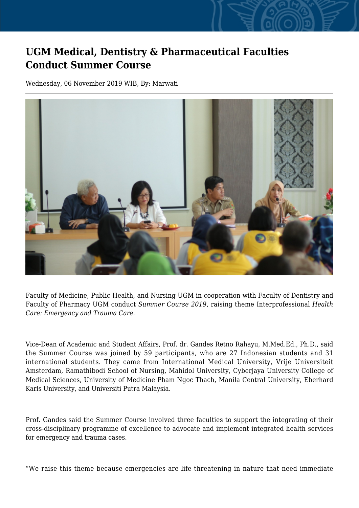## **UGM Medical, Dentistry & Pharmaceutical Faculties Conduct Summer Course**

Wednesday, 06 November 2019 WIB, By: Marwati



Faculty of Medicine, Public Health, and Nursing UGM in cooperation with Faculty of Dentistry and Faculty of Pharmacy UGM conduct *Summer Course 2019*, raising theme Interprofessional *Health Care: Emergency and Trauma Care*.

Vice-Dean of Academic and Student Affairs, Prof. dr. Gandes Retno Rahayu, M.Med.Ed., Ph.D., said the Summer Course was joined by 59 participants, who are 27 Indonesian students and 31 international students. They came from International Medical University, Vrije Universiteit Amsterdam, Ramathibodi School of Nursing, Mahidol University, Cyberjaya University College of Medical Sciences, University of Medicine Pham Ngoc Thach, Manila Central University, Eberhard Karls University, and Universiti Putra Malaysia.

Prof. Gandes said the Summer Course involved three faculties to support the integrating of their cross-disciplinary programme of excellence to advocate and implement integrated health services for emergency and trauma cases.

"We raise this theme because emergencies are life threatening in nature that need immediate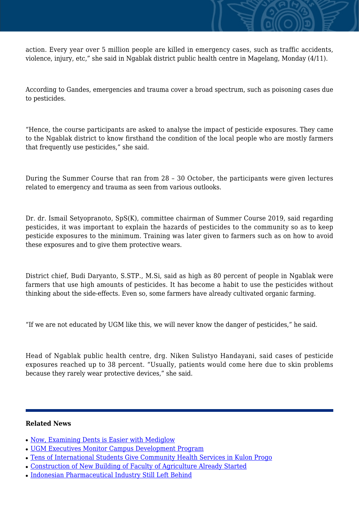action. Every year over 5 million people are killed in emergency cases, such as traffic accidents, violence, injury, etc," she said in Ngablak district public health centre in Magelang, Monday (4/11).

According to Gandes, emergencies and trauma cover a broad spectrum, such as poisoning cases due to pesticides.

"Hence, the course participants are asked to analyse the impact of pesticide exposures. They came to the Ngablak district to know firsthand the condition of the local people who are mostly farmers that frequently use pesticides," she said.

During the Summer Course that ran from 28 – 30 October, the participants were given lectures related to emergency and trauma as seen from various outlooks.

Dr. dr. Ismail Setyopranoto, SpS(K), committee chairman of Summer Course 2019, said regarding pesticides, it was important to explain the hazards of pesticides to the community so as to keep pesticide exposures to the minimum. Training was later given to farmers such as on how to avoid these exposures and to give them protective wears.

District chief, Budi Daryanto, S.STP., M.Si, said as high as 80 percent of people in Ngablak were farmers that use high amounts of pesticides. It has become a habit to use the pesticides without thinking about the side-effects. Even so, some farmers have already cultivated organic farming.

"If we are not educated by UGM like this, we will never know the danger of pesticides," he said.

Head of Ngablak public health centre, drg. Niken Sulistyo Handayani, said cases of pesticide exposures reached up to 38 percent. "Usually, patients would come here due to skin problems because they rarely wear protective devices," she said.

## **Related News**

- [Now, Examining Dents is Easier with Mediglow](http://ugm.ac.id/www.ugm.ac.id//en/news/15111-tens-of-international-students-give-community-health-services-in-kulon-progo)
- [UGM Executives Monitor Campus Development Program](http://ugm.ac.id/www.ugm.ac.id//en/news/18633-construction-of-new-building-of-faculty-of-agriculture-already-started)
- [Tens of International Students Give Community Health Services in Kulon Progo](http://ugm.ac.id/www.ugm.ac.id//en/news/7049-indonesian-pharmaceutical-industry-still-left-behind)
- [Construction of New Building of Faculty of Agriculture Already Started](http://ugm.ac.id/www.ugm.ac.id//en/news/10049-now-examining-dents-is-easier-with-mediglow)
- [Indonesian Pharmaceutical Industry Still Left Behind](http://ugm.ac.id/www.ugm.ac.id//en/news/16342-ugm-executives-monitor-campus-development-program)